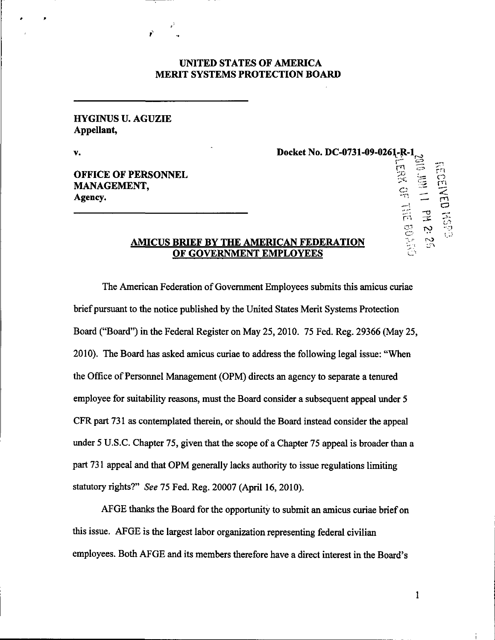## UNITED STATES OF AMERICA MERIT SYSTEMS PROTECTION BOARD

## HYGINUS U. AGUZIE Appellant,

v. 2012. Docket No. DC-0731-09-0261-R-1

rn 7Z.

 $\frac{1}{2}$  -to

**OFFICE OF PERSONNEL** MANAGEMENT,  $\sum_{i=1}^{\infty}$   $\equiv$  U<sub>i</sub> Agency.  $\blacksquare$  represents the contract of  $\blacksquare$  represents the representation of  $\blacksquare$ 

## AMICUS BRIEF BY THE AMERICAN FEDERATION OF GOVERNMENT EMPLOYEES

The American Federation of Government Employees submits this amicus curiae brief pursuant to the notice published by the United States Merit Systems Protection Board ("Board") in the Federal Register on May 25,2010. 75 Fed. Reg. 29366 (May 25, 2010). The Board has asked amicus curiae to address the following legal issue: "When the Office of Personnel Management (OPM) directs an agency to separate a tenured employee for suitability reasons, must the Board consider a subsequent appeal under 5 CFR part 731 as contemplated therein, or should the Board instead consider the appeal under 5 U.S.C. Chapter 75, given that the scope of a Chapter 75 appeal is broader than a part 731 appeal and that OPM generally lacks authority to issue regulations limiting statutory rights?" See 75 Fed. Reg. 20007 (April 16, 2010).

AFGE thanks the Board for the opportunity to submit an amicus curiae brief on this issue. AFGE is the largest labor organization representing federal civilian employees. Both AFGE and its members therefore have a direct interest in the Board's

 $\mathbf{1}$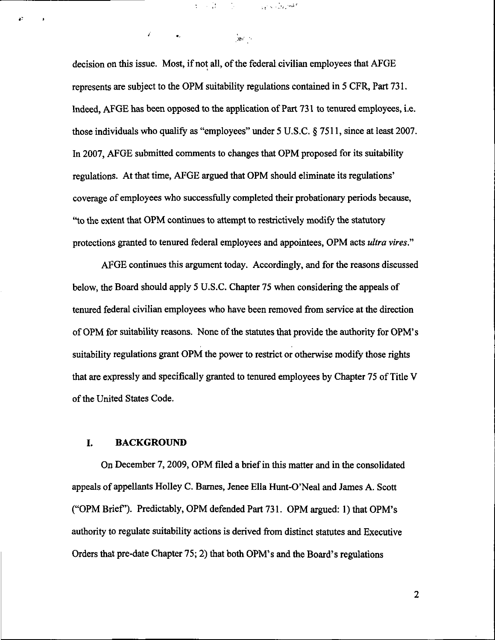decision on this issue. Most, if not all, of the federal civilian employees that AFGE represents are subject to the OPM suitability regulations contained in 5 CFR, Part 731. Indeed, AFGE has been opposed to the application of Part 731 to tenured employees, i.e. those individuals who qualify as "employees" under 5 U.S.C. § 7511, since at least 2007. In 2007, AFGE submitted comments to changes that OPM proposed for its suitability regulations. At that time, AFGE argued that OPM should eliminate its regulations' coverage of employees who successfully completed their probationary periods because, '\*to the extent that OPM continues to attempt to restrictively modify the statutory protections granted to tenured federal employees and appointees, OPM acts ultra vires."

می دی کردن کے بعد استعمال کردیا ہے۔<br>منصوبی وی کا کہنا ہے کہ اس کے بعد استعمال کردیا ہے۔

 $\frac{1}{2\hbar^2}\frac{d^2}{d^2} = 1$ 

经常量

é.

AFGE continues this argument today. Accordingly, and for the reasons discussed below, the Board should apply 5 U.S.C. Chapter 75 when considering the appeals of tenured federal civilian employees who have been removed from service at the direction of OPM for suitability reasons. None of the statutes that provide the authority for OPM's suitability regulations grant OPM the power to restrict or otherwise modify those rights that are expressly and specifically granted to tenured employees by Chapter 75 of Title V of the United States Code.

### I. BACKGROUND

On December 7, 2009, OPM filed a brief in this matter and in the consolidated appeals of appellants Holley C. Barnes, Jenee Ella Hunt-O'Neal and James A. Scott ("OPM Brief). Predictably, OPM defended Part 731. OPM argued: 1) that OPM's authority to regulate suitability actions is derived from distinct statutes and Executive Orders that pre-date Chapter 75; 2) that both OPM's and the Board's regulations

 $\overline{2}$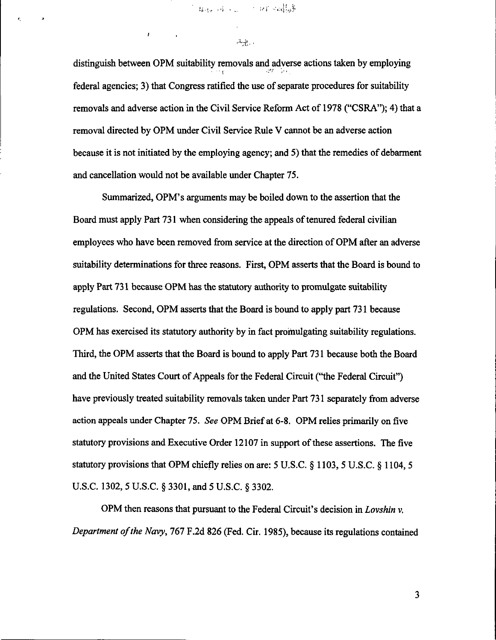" 经现金单元 一个 化新分配器

 $\mathcal{L}_{\text{eff}}$  .

¥.

distinguish between OPM suitability removals and adverse actions taken by employing federal agencies; 3) that Congress ratified the use of separate procedures for suitability removals and adverse action in the Civil Service Reform Act of 1978 ("CSRA"); 4) that a removal directed by OPM under Civil Service Rule V cannot be an adverse action because it is not initiated by the employing agency; and 5) that the remedies of debarment and cancellation would not be available under Chapter 75.

Summarized, OPM's arguments may be boiled down to the assertion that the Board must apply Part 731 when considering the appeals of tenured federal civilian employees who have been removed from service at the direction of OPM after an adverse suitability determinations for three reasons. First, OPM asserts that the Board is bound to apply Part 731 because OPM has the statutory authority to promulgate suitability regulations. Second, OPM asserts that the Board is bound to apply part 731 because OPM has exercised its statutory authority by in fact promulgating suitability regulations. Third, the OPM asserts that the Board is bound to apply Part 731 because both the Board and the United States Court of Appeals for the Federal Circuit ("the Federal Circuit") have previously treated suitability removals taken under Part 731 separately from adverse action appeals under Chapter 75. See OPM Brief at 6-8. OPM relies primarily on five statutory provisions and Executive Order 12107 in support of these assertions. The five statutory provisions that OPM chiefly relies on are: 5 U.S.C. § 1103, 5 U.S.C. § 1104,5 U.S.C. 1302, 5 U.S.C. § 3301, and 5 U.S.C. § 3302.

OPM then reasons that pursuant to the Federal Circuit's decision in Lovshin v. Department of the Navy, 767 F.2d 826 (Fed. Cir. 1985), because its regulations contained

 $\overline{3}$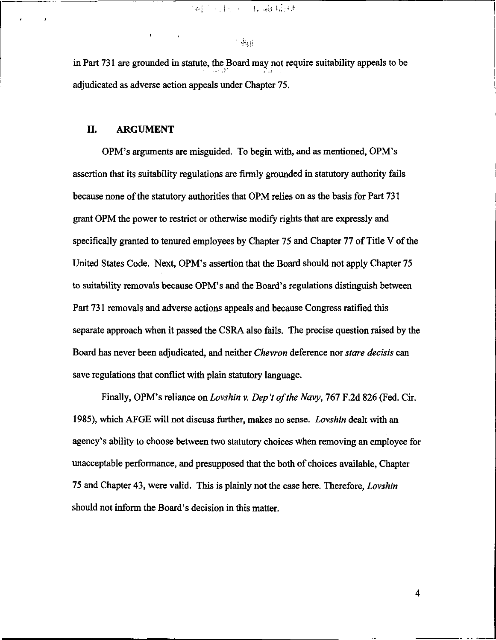1.48. 医肝小肿瘤 机磁场

# $\sim$   $\mu_{\rm H}$

in Part 731 are grounded in statute, the Board may not require suitability appeals to be adjudicated as adverse action appeals under Chapter 75.

#### II. ARGUMENT

OPM's arguments are misguided. To begin with, and as mentioned, OPM's assertion that its suitability regulations are firmly grounded in statutory authority fails because none of the statutory authorities that OPM relies on as the basis for Part 731 grant OPM the power to restrict or otherwise modify rights that are expressly and specifically granted to tenured employees by Chapter 75 and Chapter 77 of Title V of the United States Code. Next, OPM's assertion that the Board should not apply Chapter 75 to suitability removals because OPM's and the Board's regulations distinguish between Part 731 removals and adverse actions appeals and because Congress ratified this separate approach when it passed the CSRA also fails. The precise question raised by the Board has never been adjudicated, and neither Chevron deference nor stare decisis can save regulations that conflict with plain statutory language.

Finally, OPM's reliance on Lovshin v. Dep 't of the Navy, 767 F.2d 826 (Fed. Cir. 1985), which AFGE will not discuss further, makes no sense. Lovshin dealt with an agency's ability to choose between two statutory choices when removing an employee for unacceptable performance, and presupposed that the both of choices available, Chapter 75 and Chapter 43, were valid. This is plainly not the case here. Therefore, Lovshin should not inform the Board's decision in this matter.

 $\overline{\mathbf{4}}$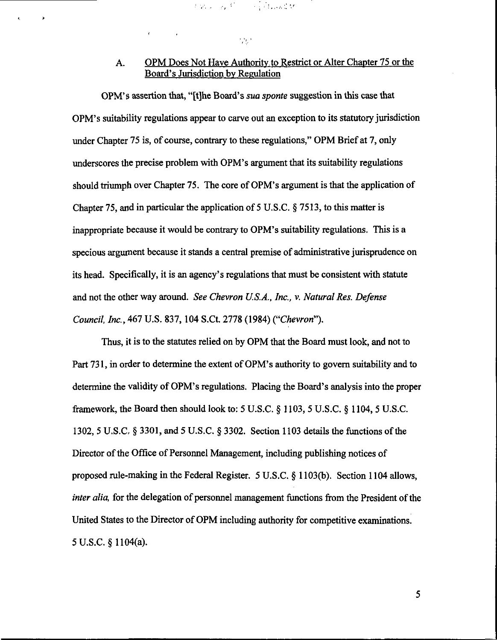# A. OPM Does Not Have Authority to Restrict or Alter Chapter 75 or the Board's Jurisdiction by Regulation

Even by Provide Banker

 $\mathcal{F}_{\mathcal{S}}$  .

OPM's assertion that, "[t]he Board's sua sponte suggestion in this case that OPM's suitability regulations appear to carve out an exception to its statutory jurisdiction under Chapter 75 is, of course, contrary to these regulations," OPM Brief at 7, only underscores the precise problem with OPM's argument that its suitability regulations should triumph over Chapter 75. The core of OPM's argument is that the application of Chapter 75, and in particular the application of 5 U.S.C. § 7513, to this matter is inappropriate because it would be contrary to OPM's suitability regulations. This is a specious argument because it stands a central premise of administrative jurisprudence on its head. Specifically, it is an agency's regulations that must be consistent with statute and not the other way around. See Chevron U.S.A., Inc., v. Natural Res. Defense Council, Inc., 461 U.S. 837,104 S.Ct. 2778 (1984) ("Chevron").

Thus, it is to the statutes relied on by OPM that the Board must look, and not to Part 731, in order to determine the extent of OPM's authority to govern suitability and to determine the validity of OPM's regulations. Placing the Board's analysis into the proper framework, the Board then should look to: 5 U.S.C. § 1103, 5 U.S.C. § 1104, 5 U.S.C. 1302, 5 U.S.C, § 3301, and 5 U.S.C. § 3302. Section 1103 details the functions of the Director of the Office of Personnel Management, including publishing notices of proposed rule-making in the Federal Register. 5 U.S.C. § 1103(b). Section 1104 allows, inter alia, for the delegation of personnel management functions from the President of the United States to the Director of OPM including authority for competitive examinations. 5U.S.C.§1104(a).

 $5<sub>1</sub>$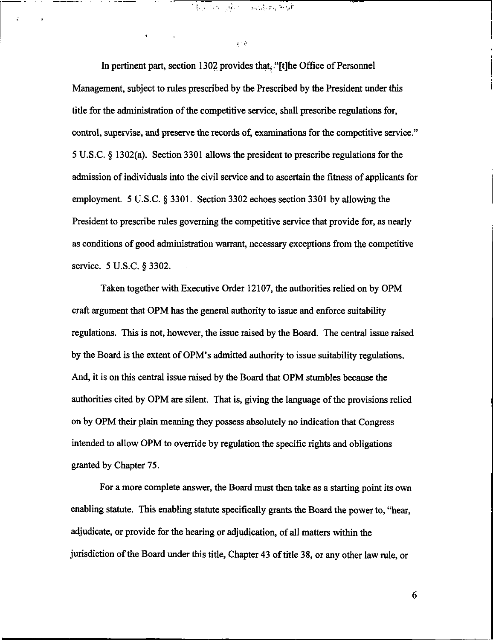In pertinent part, section 1302 provides that, "[t]he Office of Personnel Management, subject to rules prescribed by the Prescribed by the President under this title for the administration of the competitive service, shall prescribe regulations for, control, supervise, and preserve the records of, examinations for the competitive service." 5U.S.C. § 1302(a). Section3301 allows the president to prescribe regulations for the admission of individuals into the civil service and to ascertain the fitness of applicants for employment. 5 U.S.C. § 3301. Section 3302 echoes section 3301 by allowing the President to prescribe rules governing the competitive service that provide for, as nearly as conditions of good administration warrant, necessary exceptions from the competitive service. 5 U.S.C. § 3302.

 $\frac{1}{2}$ 

 $\chi\cdot\phi$ 

ć.

Taken together with Executive Order 12107, the authorities relied on by OPM craft argument that OPM has the general authority to issue and enforce suitability regulations. This is not, however, the issue raised by the Board. The central issue raised by the Board is the extent of OPM's admitted authority to issue suitability regulations. And, it is on this central issue raised by the Board that OPM stumbles because the authorities cited by OPM are silent. That is, giving the language of the provisions relied on by OPM their plain meaning they possess absolutely no indication that Congress intended to allow OPM to override by regulation the specific rights and obligations granted by Chapter 75.

For a more complete answer, the Board must then take as a starting point its own enabling statute. This enabling statute specifically grants the Board the power to, "hear, adjudicate, or provide for the hearing or adjudication, of all matters within the jurisdiction of the Board under this title, Chapter 43 of title 38, or any other law rule, or

6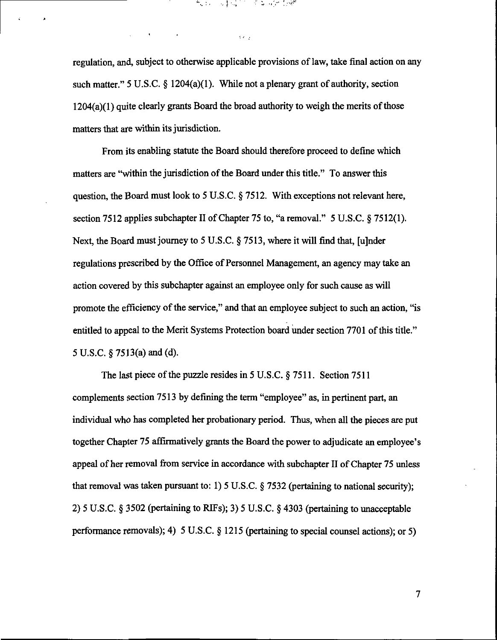regulation, and, subject to otherwise applicable provisions of law, take final action on any such matter." 5 U.S.C.  $\S$  1204(a)(1). While not a plenary grant of authority, section  $1204(a)(1)$  quite clearly grants Board the broad authority to weigh the merits of those matters that are within its jurisdiction.

 $\mathcal{O}(\mathcal{E})$ 

网络威尔 美杂合物 超體

From its enabling statute the Board should therefore proceed to define which matters are "within the jurisdiction of the Board under this title." To answer this question, the Board must look to 5 U.S.C. § 7512. With exceptions not relevant here, section 7512 applies subchapter II of Chapter 75 to, "a removal." 5 U.S.C. § 7512(1). Next, the Board must journey to 5 U.S.C. § 7513, where it will find that, [u]nder regulations prescribed by the Office of Personnel Management, an agency may take an action covered by this subchapter against an employee only for such cause as will promote the efficiency of the service," and that an employee subject to such an action, "is entitled to appeal to the Merit Systems Protection board under section 7701 of this title." 5 U.S.C.  $\S$  7513(a) and (d).

The last piece of the puzzle resides in 5 U.S.C. § 7511. Section 7511 complements section 7513 by defining the term "employee" as, in pertinent part, an individual who has completed her probationary period. Thus, when all the pieces are put together Chapter 75 affirmatively grants the Board the power to adjudicate an employee's appeal of her removal from service in accordance with subchapter II of Chapter 75 unless that removal was taken pursuant to: 1) 5 U.S.C. § 7532 (pertaining to national security); 2) 5 U.S.C. § 3502 (pertaining to RIFs); 3) 5 U.S.C. § 4303 (pertaining to unacceptable performance removals); 4) 5 U.S.C. § 1215 (pertaining to special counsel actions); or 5)

 $\overline{\mathcal{I}}$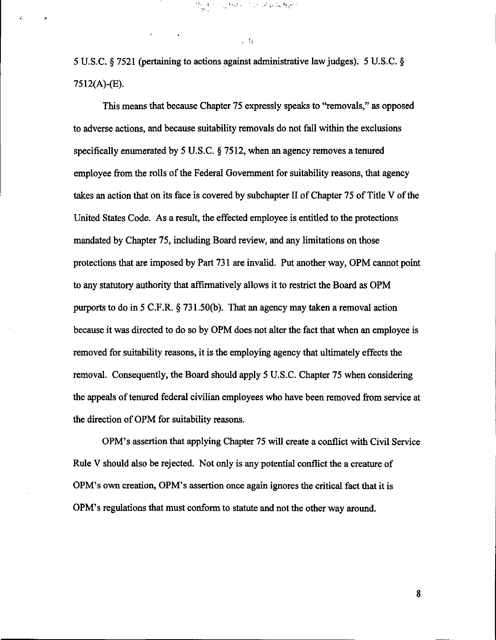5 U.S.C. § 7521 (pertaining to actions against administrative law judges). 5 U.S.C. § 7512(A)-(E).

This means that because Chapter 75 expressly speaks to "removals," as opposed to adverse actions, and because suitability removals do not fall within the exclusions specifically enumerated by 5 U.S.C. § 7512, when an agency removes a tenured employee from the rolls of the Federal Government for suitability reasons, that agency takes an action that on its face is covered by subchapter II of Chapter 75 of Title V of the United States Code. As a result, the effected employee is entitled to the protections mandated by Chapter 75, including Board review, and any limitations on those protections that are imposed by Part 731 are invalid. Put another way, OPM cannot point to any statutory authority that affirmatively allows it to restrict the Board as OPM purports to do in 5 C.F.R. § 731.50(b). That an agency may taken a removal action because it was directed to do so by OPM does not alter the fact that when an employee is removed for suitability reasons, it is the employing agency that ultimately effects the removal. Consequently, the Board should apply 5 U.S.C. Chapter 75 when considering the appeals of tenured federal civilian employees who have been removed from service at the direction of OPM for suitability reasons.

OPM's assertion that applying Chapter 75 will create a conflict with Civil Service Rule V should also be rejected. Not only is any potential conflict the a creature of OPM's own creation, OPM's assertion once again ignores the critical fact that it is OPM's regulations that must conform to statute and not the other way around.

8

 $\sqrt{\beta_4}$ 

 $\frac{1}{2} \sum_{i=1}^{n} \frac{1}{2} \sum_{j=1}^{n} \frac{1}{2} \sum_{j=1}^{n} \frac{1}{2} \sum_{j=1}^{n} \frac{1}{2} \sum_{j=1}^{n} \frac{1}{2} \sum_{j=1}^{n} \frac{1}{2} \sum_{j=1}^{n} \frac{1}{2} \sum_{j=1}^{n} \frac{1}{2} \sum_{j=1}^{n} \frac{1}{2} \sum_{j=1}^{n} \frac{1}{2} \sum_{j=1}^{n} \frac{1}{2} \sum_{j=1}^{n} \frac{1}{2} \sum_{j=1}^{n$ 

高标准 网络绿花绿绿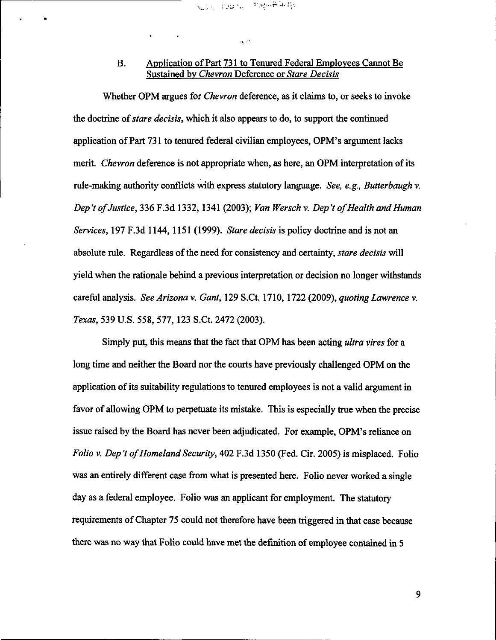#### $\alpha$  as

### B. Application of Part 731 to Tenured Federal Employees Cannot Be Sustained by Chevron Deference or Stare Decisis

Whether OPM argues for *Chevron* deference, as it claims to, or seeks to invoke the doctrine of stare decisis, which it also appears to do, to support the continued application of Part 731 to tenured federal civilian employees, OPM's argument lacks merit. Chevron deference is not appropriate when, as here, an OPM interpretation of its rule-making authority conflicts with express statutory language. See, e.g., Butterbaugh v. Dep 't of Justice, 336 F.3d 1332,1341 (2003); Van Wersch v. Dep 't of Health and Human Services, 197 F.3d 1144, 1151 (1999). Stare decisis is policy doctrine and is not an absolute rule. Regardless of the need for consistency and certainty, *stare decisis* will yield when the rationale behind a previous interpretation or decision no longer withstands careful analysis. See Arizona v. Gant, 129 S.Ct. 1710,1722 (2009), quoting Lawrence v. Texas, 539 U.S. 558, 577,123 S.Ct. 2472 (2003).

Simply put, this means that the fact that OPM has been acting ultra vires for a long time and neither the Board nor the courts have previously challenged OPM on the application of its suitability regulations to tenured employees is not a valid argument in favor of allowing OPM to perpetuate its mistake. This is especially true when the precise issue raised by the Board has never been adjudicated. For example, OPM's reliance on Folio v. Dep't of Homeland Security, 402 F.3d 1350 (Fed. Cir. 2005) is misplaced. Folio was an entirely different case from what is presented here. Folio never worked a single day as a federal employee. Folio was an applicant for employment. The statutory requirements of Chapter 75 could not therefore have been triggered in that case because there was no way that Folio could have met the definition of employee contained in 5

9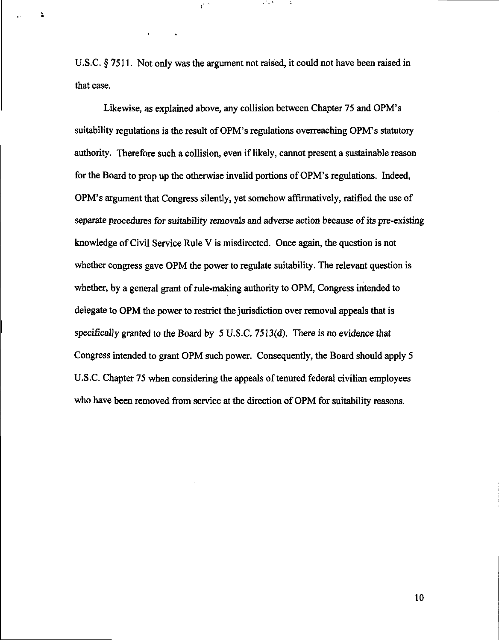U.S.C. § 7511. Not only was the argument not raised, it could not have been raised in that case.

 $\mathcal{C}^{(0)}$ 

÷.

Likewise, as explained above, any collision between Chapter 75 and OPM's suitability regulations is the result of OPM's regulations overreaching OPM's statutory authority. Therefore such a collision, even if likely, cannot present a sustainable reason for the Board to prop up the otherwise invalid portions of OPM's regulations. Indeed, OPM's argument that Congress silently, yet somehow affirmatively, ratified the use of separate procedures for suitability removals and adverse action because of its pre-existing knowledge of Civil Service Rule V is misdirected. Once again, the question is not whether congress gave OPM the power to regulate suitability. The relevant question is whether, by a general grant of rule-making authority to OPM, Congress intended to delegate to OPM the power to restrict the jurisdiction over removal appeals that is specifically granted to the Board by 5 U.S.C. 7513(d). There is no evidence that Congress intended to grant OPM such power. Consequently, the Board should apply 5 U.S.C. Chapter 75 when considering the appeals of tenured federal civilian employees who have been removed from service at the direction of OPM for suitability reasons.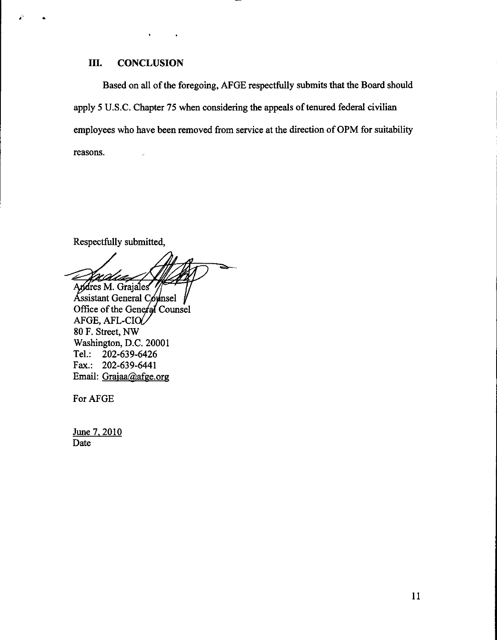### III. CONCLUSION

Based on all of the foregoing, AFGE respectfully submits that the Board should apply 5 U.S.C. Chapter 75 when considering the appeals of tenured federal civilian employees who have been removed from service at the direction of OPM for suitability reasons.

Respectfully submitted,

 $\boldsymbol{\varkappa}\varDelta$ Andres M. Grajales

Assistant General Counsel Office of the General Counsel AFGE, AFL-CI 80 F. Street, NW Washington, D.C. 20001<br>Tel.: 202-639-6426 Tel: 202-639-6426 Fax.: 202-639-6441 Email: Grajaa@afge.org

For AFGE

June 7, 2010 Date